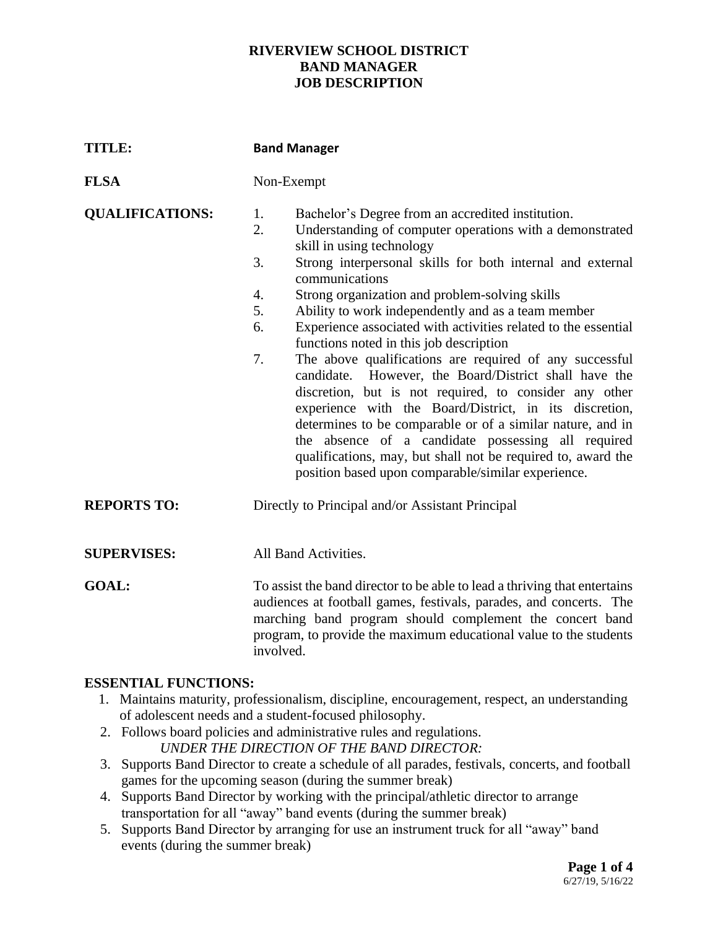### **RIVERVIEW SCHOOL DISTRICT BAND MANAGER JOB DESCRIPTION**

| <b>TITLE:</b>          | <b>Band Manager</b>                                                                                                                                                                                                                                                                                                                                                                                                                                                                                                                                                                                                                                                                                                                                                                                                                                                                                                                                                         |
|------------------------|-----------------------------------------------------------------------------------------------------------------------------------------------------------------------------------------------------------------------------------------------------------------------------------------------------------------------------------------------------------------------------------------------------------------------------------------------------------------------------------------------------------------------------------------------------------------------------------------------------------------------------------------------------------------------------------------------------------------------------------------------------------------------------------------------------------------------------------------------------------------------------------------------------------------------------------------------------------------------------|
| <b>FLSA</b>            | Non-Exempt                                                                                                                                                                                                                                                                                                                                                                                                                                                                                                                                                                                                                                                                                                                                                                                                                                                                                                                                                                  |
| <b>QUALIFICATIONS:</b> | Bachelor's Degree from an accredited institution.<br>1.<br>Understanding of computer operations with a demonstrated<br>2.<br>skill in using technology<br>3.<br>Strong interpersonal skills for both internal and external<br>communications<br>4.<br>Strong organization and problem-solving skills<br>5.<br>Ability to work independently and as a team member<br>Experience associated with activities related to the essential<br>6.<br>functions noted in this job description<br>7.<br>The above qualifications are required of any successful<br>candidate. However, the Board/District shall have the<br>discretion, but is not required, to consider any other<br>experience with the Board/District, in its discretion,<br>determines to be comparable or of a similar nature, and in<br>the absence of a candidate possessing all required<br>qualifications, may, but shall not be required to, award the<br>position based upon comparable/similar experience. |
| <b>REPORTS TO:</b>     | Directly to Principal and/or Assistant Principal                                                                                                                                                                                                                                                                                                                                                                                                                                                                                                                                                                                                                                                                                                                                                                                                                                                                                                                            |
| <b>SUPERVISES:</b>     | All Band Activities.                                                                                                                                                                                                                                                                                                                                                                                                                                                                                                                                                                                                                                                                                                                                                                                                                                                                                                                                                        |
| <b>GOAL:</b>           | To assist the band director to be able to lead a thriving that entertains<br>audiences at football games, festivals, parades, and concerts. The<br>marching band program should complement the concert band<br>program, to provide the maximum educational value to the students<br>involved.                                                                                                                                                                                                                                                                                                                                                                                                                                                                                                                                                                                                                                                                               |

## **ESSENTIAL FUNCTIONS:**

- 1. Maintains maturity, professionalism, discipline, encouragement, respect, an understanding of adolescent needs and a student-focused philosophy.
- 2. Follows board policies and administrative rules and regulations. *UNDER THE DIRECTION OF THE BAND DIRECTOR:*
- 3. Supports Band Director to create a schedule of all parades, festivals, concerts, and football games for the upcoming season (during the summer break)
- 4. Supports Band Director by working with the principal/athletic director to arrange transportation for all "away" band events (during the summer break)
- 5. Supports Band Director by arranging for use an instrument truck for all "away" band events (during the summer break)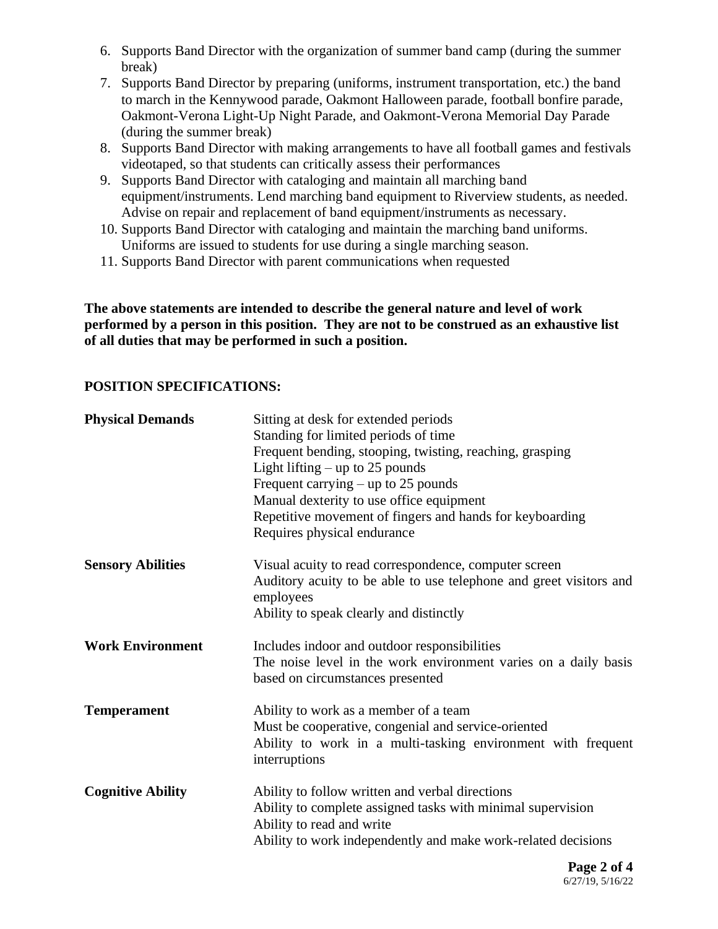- 6. Supports Band Director with the organization of summer band camp (during the summer break)
- 7. Supports Band Director by preparing (uniforms, instrument transportation, etc.) the band to march in the Kennywood parade, Oakmont Halloween parade, football bonfire parade, Oakmont-Verona Light-Up Night Parade, and Oakmont-Verona Memorial Day Parade (during the summer break)
- 8. Supports Band Director with making arrangements to have all football games and festivals videotaped, so that students can critically assess their performances
- 9. Supports Band Director with cataloging and maintain all marching band equipment/instruments. Lend marching band equipment to Riverview students, as needed. Advise on repair and replacement of band equipment/instruments as necessary.
- 10. Supports Band Director with cataloging and maintain the marching band uniforms. Uniforms are issued to students for use during a single marching season.
- 11. Supports Band Director with parent communications when requested

**The above statements are intended to describe the general nature and level of work performed by a person in this position. They are not to be construed as an exhaustive list of all duties that may be performed in such a position.**

## **POSITION SPECIFICATIONS:**

| <b>Physical Demands</b>  | Sitting at desk for extended periods<br>Standing for limited periods of time<br>Frequent bending, stooping, twisting, reaching, grasping<br>Light lifting $-$ up to 25 pounds<br>Frequent carrying $-$ up to 25 pounds<br>Manual dexterity to use office equipment<br>Repetitive movement of fingers and hands for keyboarding<br>Requires physical endurance |
|--------------------------|---------------------------------------------------------------------------------------------------------------------------------------------------------------------------------------------------------------------------------------------------------------------------------------------------------------------------------------------------------------|
| <b>Sensory Abilities</b> | Visual acuity to read correspondence, computer screen<br>Auditory acuity to be able to use telephone and greet visitors and<br>employees<br>Ability to speak clearly and distinctly                                                                                                                                                                           |
| <b>Work Environment</b>  | Includes indoor and outdoor responsibilities<br>The noise level in the work environment varies on a daily basis<br>based on circumstances presented                                                                                                                                                                                                           |
| <b>Temperament</b>       | Ability to work as a member of a team<br>Must be cooperative, congenial and service-oriented<br>Ability to work in a multi-tasking environment with frequent<br>interruptions                                                                                                                                                                                 |
| <b>Cognitive Ability</b> | Ability to follow written and verbal directions<br>Ability to complete assigned tasks with minimal supervision<br>Ability to read and write<br>Ability to work independently and make work-related decisions                                                                                                                                                  |
|                          | $\mathbf{n}$ $\mathbf{A}$ $\mathbf{A}$                                                                                                                                                                                                                                                                                                                        |